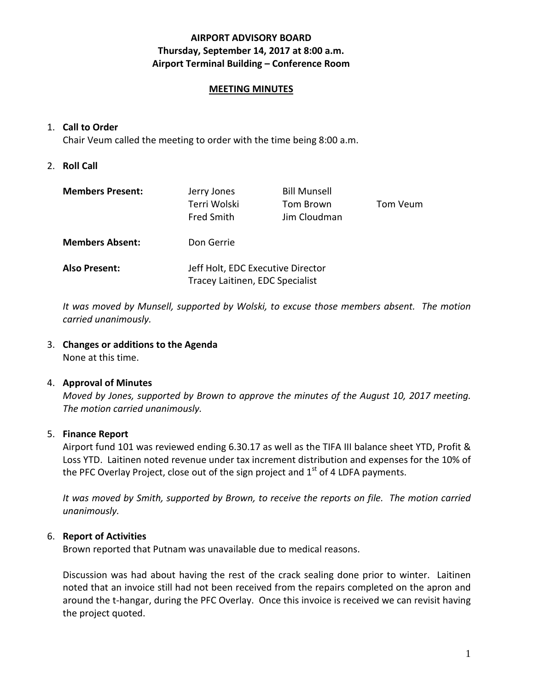## **AIRPORT ADVISORY BOARD Thursday, September 14, 2017 at 8:00 a.m. Airport Terminal Building – Conference Room**

#### **MEETING MINUTES**

#### 1. **Call to Order**

Chair Veum called the meeting to order with the time being 8:00 a.m.

#### 2. **Roll Call**

| <b>Members Present:</b> | Jerry Jones<br>Terri Wolski<br><b>Fred Smith</b>                     | <b>Bill Munsell</b><br>Tom Brown<br>Jim Cloudman | Tom Veum |
|-------------------------|----------------------------------------------------------------------|--------------------------------------------------|----------|
| <b>Members Absent:</b>  | Don Gerrie                                                           |                                                  |          |
| <b>Also Present:</b>    | Jeff Holt, EDC Executive Director<br>Tracey Laitinen, EDC Specialist |                                                  |          |

*It was moved by Munsell, supported by Wolski, to excuse those members absent. The motion carried unanimously.*

#### 3. **Changes or additions to the Agenda**

None at this time.

#### 4. **Approval of Minutes**

*Moved by Jones, supported by Brown to approve the minutes of the August 10, 2017 meeting. The motion carried unanimously.*

#### 5. **Finance Report**

Airport fund 101 was reviewed ending 6.30.17 as well as the TIFA III balance sheet YTD, Profit & Loss YTD. Laitinen noted revenue under tax increment distribution and expenses for the 10% of the PFC Overlay Project, close out of the sign project and  $1<sup>st</sup>$  of 4 LDFA payments.

*It was moved by Smith, supported by Brown, to receive the reports on file. The motion carried unanimously.*

#### 6. **Report of Activities**

Brown reported that Putnam was unavailable due to medical reasons.

Discussion was had about having the rest of the crack sealing done prior to winter. Laitinen noted that an invoice still had not been received from the repairs completed on the apron and around the t-hangar, during the PFC Overlay. Once this invoice is received we can revisit having the project quoted.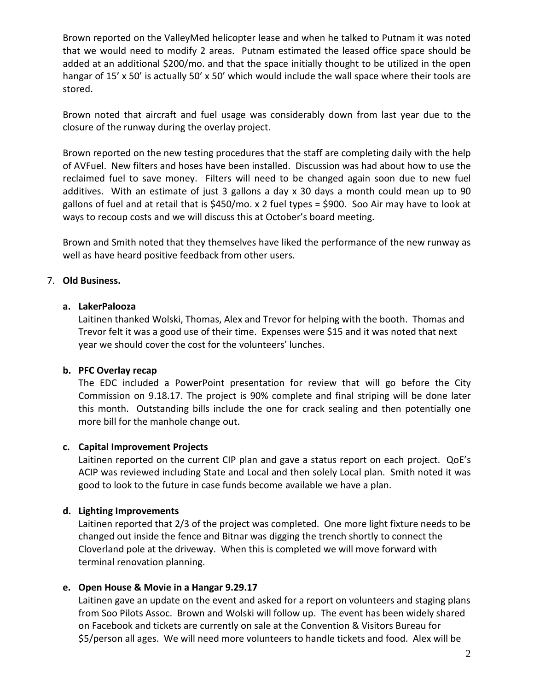Brown reported on the ValleyMed helicopter lease and when he talked to Putnam it was noted that we would need to modify 2 areas. Putnam estimated the leased office space should be added at an additional \$200/mo. and that the space initially thought to be utilized in the open hangar of 15' x 50' is actually 50' x 50' which would include the wall space where their tools are stored.

Brown noted that aircraft and fuel usage was considerably down from last year due to the closure of the runway during the overlay project.

Brown reported on the new testing procedures that the staff are completing daily with the help of AVFuel. New filters and hoses have been installed. Discussion was had about how to use the reclaimed fuel to save money. Filters will need to be changed again soon due to new fuel additives. With an estimate of just 3 gallons a day x 30 days a month could mean up to 90 gallons of fuel and at retail that is \$450/mo. x 2 fuel types = \$900. Soo Air may have to look at ways to recoup costs and we will discuss this at October's board meeting.

Brown and Smith noted that they themselves have liked the performance of the new runway as well as have heard positive feedback from other users.

## 7. **Old Business.**

#### **a. LakerPalooza**

Laitinen thanked Wolski, Thomas, Alex and Trevor for helping with the booth. Thomas and Trevor felt it was a good use of their time. Expenses were \$15 and it was noted that next year we should cover the cost for the volunteers' lunches.

#### **b. PFC Overlay recap**

The EDC included a PowerPoint presentation for review that will go before the City Commission on 9.18.17. The project is 90% complete and final striping will be done later this month. Outstanding bills include the one for crack sealing and then potentially one more bill for the manhole change out.

#### **c. Capital Improvement Projects**

Laitinen reported on the current CIP plan and gave a status report on each project. QoE's ACIP was reviewed including State and Local and then solely Local plan. Smith noted it was good to look to the future in case funds become available we have a plan.

#### **d. Lighting Improvements**

Laitinen reported that 2/3 of the project was completed. One more light fixture needs to be changed out inside the fence and Bitnar was digging the trench shortly to connect the Cloverland pole at the driveway. When this is completed we will move forward with terminal renovation planning.

#### **e. Open House & Movie in a Hangar 9.29.17**

Laitinen gave an update on the event and asked for a report on volunteers and staging plans from Soo Pilots Assoc. Brown and Wolski will follow up. The event has been widely shared on Facebook and tickets are currently on sale at the Convention & Visitors Bureau for \$5/person all ages. We will need more volunteers to handle tickets and food. Alex will be